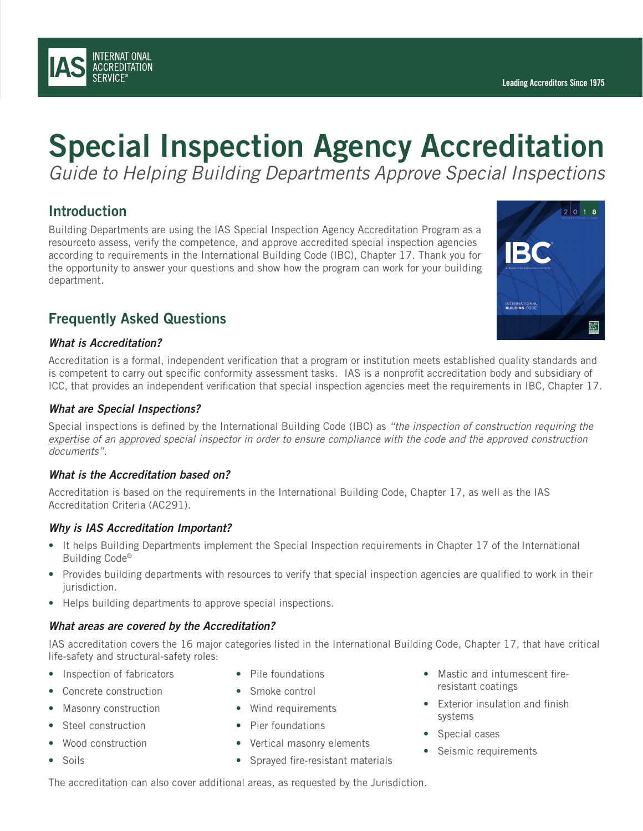# Special Inspection Agency Accreditation *Guide to Helping Building Departments Approve Special Inspections*

### **Introduction**

Building Departments are using the IAS Special Inspection Agency Accreditation Program as a resourceto assess, verify the competence, and approve accredited special inspection agencies according to requirements in the International Building Code (IBC), Chapter 17. Thank you for the opportunity to answer your questions and show how the program can work for your building department.

### Frequently Asked Questions

### *What is Accreditation?*

Accreditation is a formal, independent verification that a program or institution meets established quality standards and is competent to carry out specific conformity assessment tasks. IAS is a nonprofit accreditation body and subsidiary of ICC, that provides an independent verification that special inspection agencies meet the requirements in IBC, Chapter 17.

### *What are Special Inspections?*

Special inspections is defined by the International Building Code (IBC) as *"the inspection of construction requiring the expertise of an approved special inspector in order to ensure compliance with the code and the approved construction documents"*.

### *What is the Accreditation based on?*

Accreditation is based on the requirements in the International Building Code, Chapter 17, as well as the IAS Accreditation Criteria (AC291).

### *Why is IAS Accreditation Important?*

- It helps Building Departments implement the Special Inspection requirements in Chapter 17 of the International Building Code®
- Provides building departments with resources to verify that special inspection agencies are qualified to work in their jurisdiction.
- Helps building departments to approve special inspections.

### *What areas are covered by the Accreditation?*

IAS accreditation covers the 16 major categories listed in the International Building Code, Chapter 17, that have critical life-safety and structural-safety roles:

- Inspection of fabricators
- Concrete construction
- Masonry construction
- Steel construction
- Wood construction
- Soils
- Pile foundations
- Smoke control
- Wind requirements
- Pier foundations
- Vertical masonry elements
- Sprayed fire-resistant materials
- Mastic and intumescent fireresistant coatings
- Exterior insulation and finish systems
- Special cases
- Seismic requirements

The accreditation can also cover additional areas, as requested by the Jurisdiction.



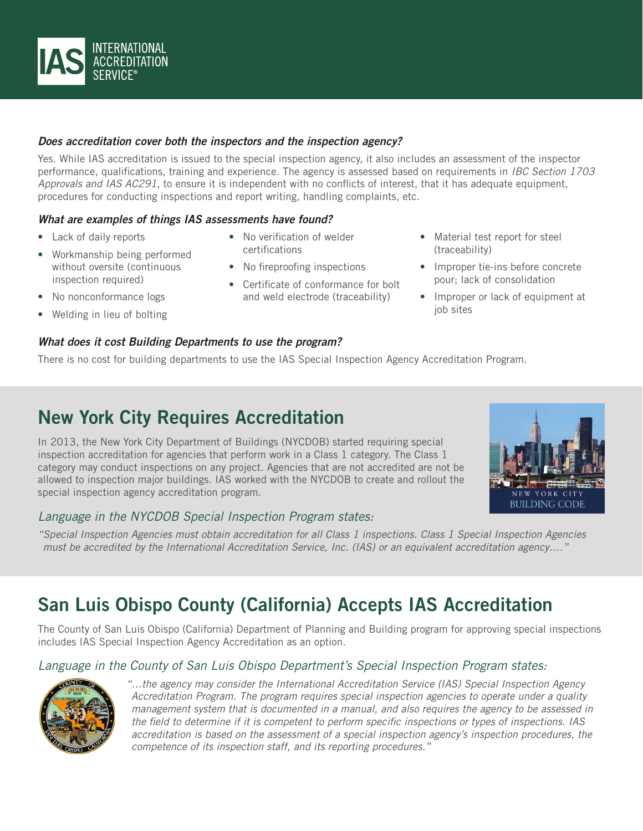

### *Does accreditation cover both the inspectors and the inspection agency?*

Yes. While IAS accreditation is issued to the special inspection agency, it also includes an assessment of the inspector performance, qualifications, training and experience. The agency is assessed based on requirements in *IBC Section 1703 Approvals and IAS AC291*, to ensure it is independent with no conflicts of interest, that it has adequate equipment, procedures for conducting inspections and report writing, handling complaints, etc.

### *What are examples of things IAS assessments have found?*

- Lack of daily reports
- Workmanship being performed without oversite (continuous inspection required)
- No nonconformance logs
- Welding in lieu of bolting

### *What does it cost Building Departments to use the program?*

There is no cost for building departments to use the IAS Special Inspection Agency Accreditation Program.

• No verification of welder

• No fireproofing inspections

• Certificate of conformance for bolt and weld electrode (traceability)

certifications

# New York City Requires Accreditation

In 2013, the New York City Department of Buildings (NYCDOB) started requiring special inspection accreditation for agencies that perform work in a Class 1 category. The Class 1 category may conduct inspections on any project. Agencies that are not accredited are not be allowed to inspection major buildings. IAS worked with the NYCDOB to create and rollout the special inspection agency accreditation program.

### *Language in the NYCDOB Special Inspection Program states:*

NEW YORK CITY **BUILDING CODE** 

*"Special Inspection Agencies must obtain accreditation for all Class 1 inspections. Class 1 Special Inspection Agencies must be accredited by the International Accreditation Service, Inc. (IAS) or an equivalent accreditation agency…."*

# San Luis Obispo County (California) Accepts IAS Accreditation

The County of San Luis Obispo (California) Department of Planning and Building program for approving special inspections includes IAS Special Inspection Agency Accreditation as an option.

### *Language in the County of San Luis Obispo Department's Special Inspection Program states:*



*"…the agency may consider the International Accreditation Service (IAS) Special Inspection Agency Accreditation Program. The program requires special inspection agencies to operate under a quality management system that is documented in a manual, and also requires the agency to be assessed in the field to determine if it is competent to perform specific inspections or types of inspections. IAS accreditation is based on the assessment of a special inspection agency's inspection procedures, the competence of its inspection staff, and its reporting procedures."*



• Material test report for steel

• Improper tie-ins before concrete pour; lack of consolidation • Improper or lack of equipment at

(traceability)

job sites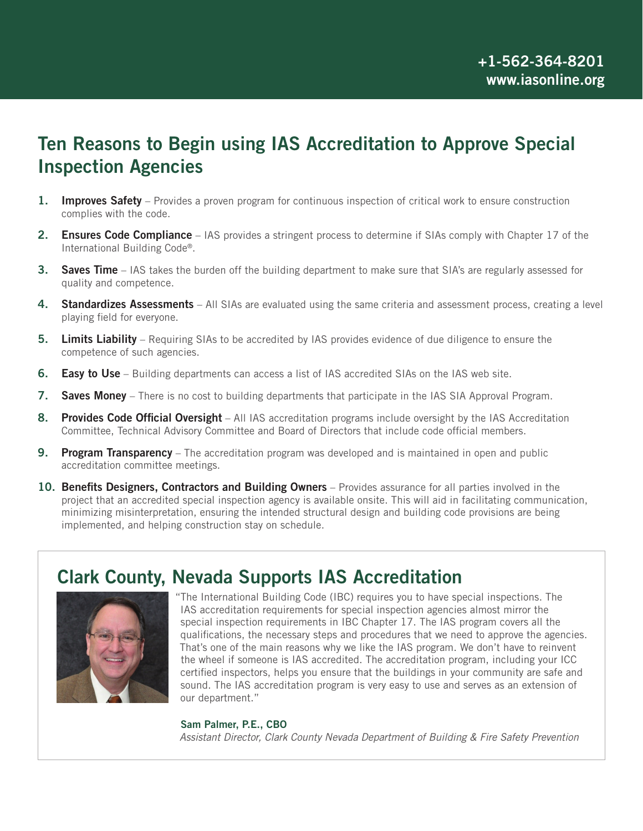## Ten Reasons to Begin using IAS Accreditation to Approve Special Inspection Agencies

- 1. Improves Safety Provides a proven program for continuous inspection of critical work to ensure construction complies with the code.
- **2.** Ensures Code Compliance IAS provides a stringent process to determine if SIAs comply with Chapter 17 of the International Building Code®.
- 3. Saves Time IAS takes the burden off the building department to make sure that SIA's are regularly assessed for quality and competence.
- 4. Standardizes Assessments All SIAs are evaluated using the same criteria and assessment process, creating a level playing field for everyone.
- **5.** Limits Liability Requiring SIAs to be accredited by IAS provides evidence of due diligence to ensure the competence of such agencies.
- 6. Easy to Use Building departments can access a list of IAS accredited SIAs on the IAS web site.
- 7. Saves Money There is no cost to building departments that participate in the IAS SIA Approval Program.
- 8. Provides Code Official Oversight All IAS accreditation programs include oversight by the IAS Accreditation Committee, Technical Advisory Committee and Board of Directors that include code official members.
- **9. Program Transparency** The accreditation program was developed and is maintained in open and public accreditation committee meetings.
- 10. Benefits Designers, Contractors and Building Owners Provides assurance for all parties involved in the project that an accredited special inspection agency is available onsite. This will aid in facilitating communication, minimizing misinterpretation, ensuring the intended structural design and building code provisions are being implemented, and helping construction stay on schedule.

## Clark County, Nevada Supports IAS Accreditation



"The International Building Code (IBC) requires you to have special inspections. The IAS accreditation requirements for special inspection agencies almost mirror the special inspection requirements in IBC Chapter 17. The IAS program covers all the qualifications, the necessary steps and procedures that we need to approve the agencies. That's one of the main reasons why we like the IAS program. We don't have to reinvent the wheel if someone is IAS accredited. The accreditation program, including your ICC certified inspectors, helps you ensure that the buildings in your community are safe and sound. The IAS accreditation program is very easy to use and serves as an extension of our department."

#### Sam Palmer, P.E., CBO

*Assistant Director, Clark County Nevada Department of Building & Fire Safety Prevention*